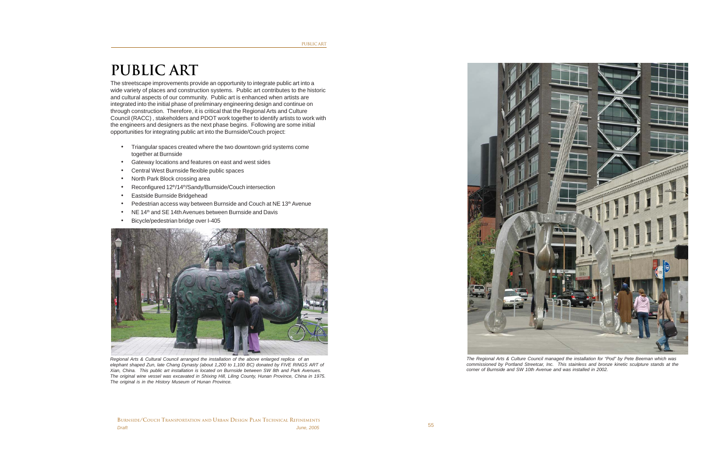## **PUBLIC ART**

The streetscape improvements provide an opportunity to integrate public art into a wide variety of places and construction systems. Public art contributes to the historic and cultural aspects of our community. Public art is enhanced when artists are integrated into the initial phase of preliminary engineering design and continue on through construction. Therefore, it is critical that the Regional Arts and Culture Council (RACC) , stakeholders and PDOT work together to identify artists to work with the engineers and designers as the next phase begins. Following are some initial opportunities for integrating public art into the Burnside/Couch project:

- Triangular spaces created where the two downtown grid systems come together at Burnside
- Gateway locations and features on east and west sides
- Central West Burnside flexible public spaces
- North Park Block crossing area
- Reconfigured 12<sup>th</sup>/14<sup>th</sup>/Sandy/Burnside/Couch intersection
- Eastside Burnside Bridgehead
- Pedestrian access way between Burnside and Couch at NE 13th Avenue
- NE 14<sup>th</sup> and SE 14th Avenues between Burnside and Davis
- Bicycle/pedestrian bridge over I-405



*Regional Arts & Cultural Council arranged the installation of the above enlarged replica of an elephant shaped Zun, late Chang Dynasty (about 1,200 to 1,100 BC) donated by FIVE RINGS ART of Xian, China. This public art installation is located on Burnside between SW 8th and Park Avenues. The original wine vessel was excavated in Shixing Hill, Liling County, Hunan Province, China in 1975. The original is in the History Museum of Hunan Province.*



*The Regional Arts & Culture Council managed the installation for "Pod" by Pete Beeman which was commissioned by Portland Streetcar, Inc. This stainless and bronze kinetic sculpture stands at the corner of Burnside and SW 10th Avenue and was installed in 2002.*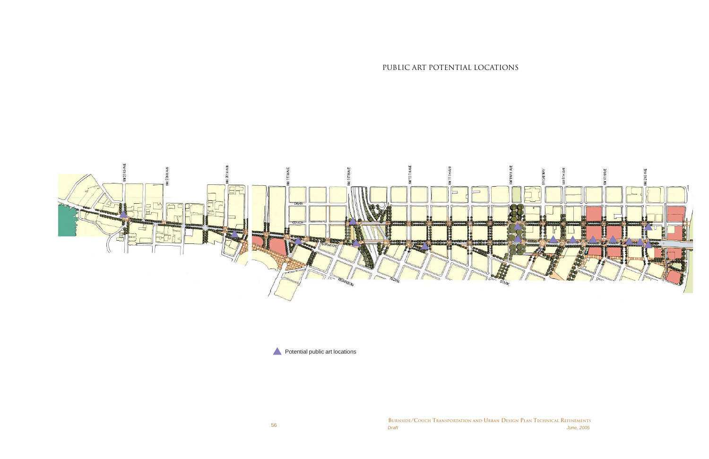56 *Draft June, 2005* **BURNSIDE/COUCH TRANSPORTATION AND URBAN DESIGN PLAN TECHNICAL REFINEMENTS**

## PUBLIC ART POTENTIAL LOCATIONS